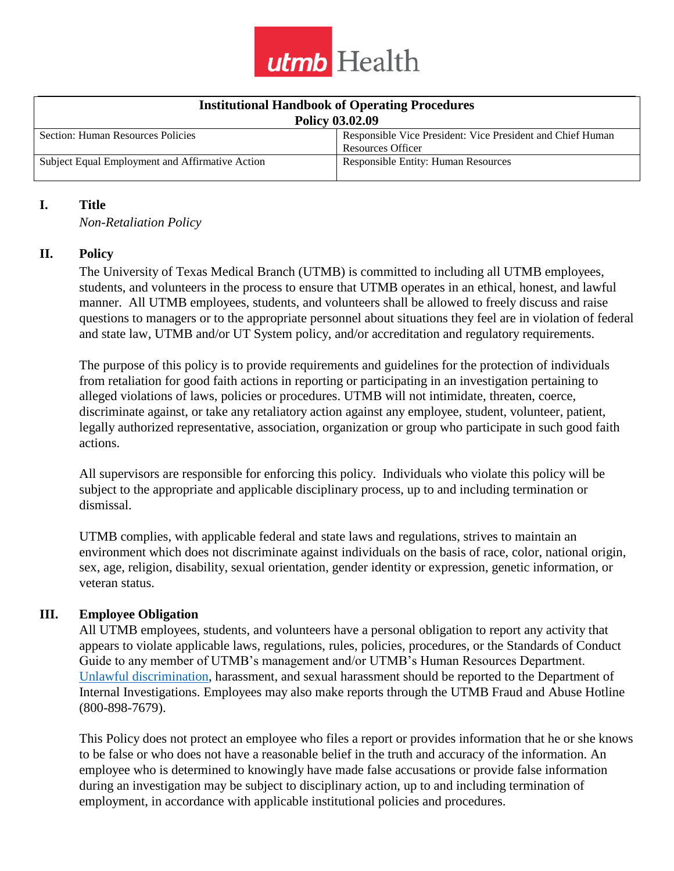

| <b>Institutional Handbook of Operating Procedures</b> |                                                            |
|-------------------------------------------------------|------------------------------------------------------------|
| <b>Policy 03.02.09</b>                                |                                                            |
| Section: Human Resources Policies                     | Responsible Vice President: Vice President and Chief Human |
|                                                       | <b>Resources Officer</b>                                   |
| Subject Equal Employment and Affirmative Action       | <b>Responsible Entity: Human Resources</b>                 |

#### **I. Title**

*Non-Retaliation Policy*

#### **II. Policy**

The University of Texas Medical Branch (UTMB) is committed to including all UTMB employees, students, and volunteers in the process to ensure that UTMB operates in an ethical, honest, and lawful manner. All UTMB employees, students, and volunteers shall be allowed to freely discuss and raise questions to managers or to the appropriate personnel about situations they feel are in violation of federal and state law, UTMB and/or UT System policy, and/or accreditation and regulatory requirements.

The purpose of this policy is to provide requirements and guidelines for the protection of individuals from retaliation for good faith actions in reporting or participating in an investigation pertaining to alleged violations of laws, policies or procedures. UTMB will not intimidate, threaten, coerce, discriminate against, or take any retaliatory action against any employee, student, volunteer, patient, legally authorized representative, association, organization or group who participate in such good faith actions.

All supervisors are responsible for enforcing this policy. Individuals who violate this policy will be subject to the appropriate and applicable disciplinary process, up to and including termination or dismissal.

UTMB complies, with applicable federal and state laws and regulations, strives to maintain an environment which does not discriminate against individuals on the basis of race, color, national origin, sex, age, religion, disability, sexual orientation, gender identity or expression, genetic information, or veteran status.

#### **III. Employee Obligation**

All UTMB employees, students, and volunteers have a personal obligation to report any activity that appears to violate applicable laws, regulations, rules, policies, procedures, or the Standards of Conduct Guide to any member of UTMB's management and/or UTMB's Human Resources Department. [Unlawful discrimination,](http://intranet.utmb.edu/policies_and_procedures/Admin/Definition_Edit/855) harassment, and sexual harassment should be reported to the Department of Internal Investigations. Employees may also make reports through the UTMB Fraud and Abuse Hotline (800-898-7679).

This Policy does not protect an employee who files a report or provides information that he or she knows to be false or who does not have a reasonable belief in the truth and accuracy of the information. An employee who is determined to knowingly have made false accusations or provide false information during an investigation may be subject to disciplinary action, up to and including termination of employment, in accordance with applicable institutional policies and procedures.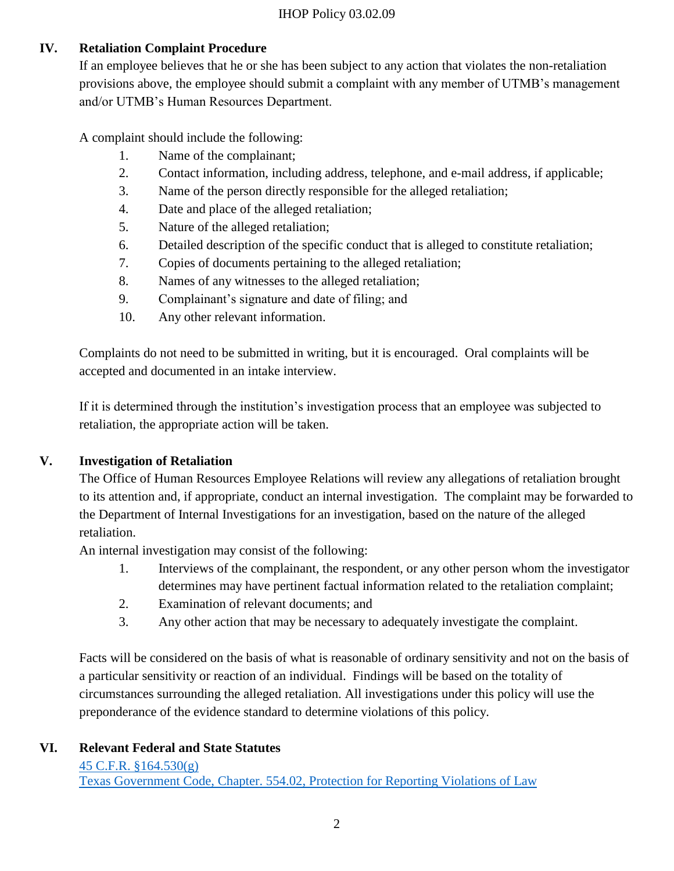# **IV. Retaliation Complaint Procedure**

If an employee believes that he or she has been subject to any action that violates the non-retaliation provisions above, the employee should submit a complaint with any member of UTMB's management and/or UTMB's Human Resources Department.

A complaint should include the following:

- 1. Name of the complainant;
- 2. Contact information, including address, telephone, and e-mail address, if applicable;
- 3. Name of the person directly responsible for the alleged retaliation;
- 4. Date and place of the alleged retaliation;
- 5. Nature of the alleged retaliation;
- 6. Detailed description of the specific conduct that is alleged to constitute retaliation;
- 7. Copies of documents pertaining to the alleged retaliation;
- 8. Names of any witnesses to the alleged retaliation;
- 9. Complainant's signature and date of filing; and
- 10. Any other relevant information.

Complaints do not need to be submitted in writing, but it is encouraged. Oral complaints will be accepted and documented in an intake interview.

If it is determined through the institution's investigation process that an employee was subjected to retaliation, the appropriate action will be taken.

## **V. Investigation of Retaliation**

The Office of Human Resources Employee Relations will review any allegations of retaliation brought to its attention and, if appropriate, conduct an internal investigation. The complaint may be forwarded to the Department of Internal Investigations for an investigation, based on the nature of the alleged retaliation.

An internal investigation may consist of the following:

- 1. Interviews of the complainant, the respondent, or any other person whom the investigator determines may have pertinent factual information related to the retaliation complaint;
- 2. Examination of relevant documents; and
- 3. Any other action that may be necessary to adequately investigate the complaint.

Facts will be considered on the basis of what is reasonable of ordinary sensitivity and not on the basis of a particular sensitivity or reaction of an individual. Findings will be based on the totality of circumstances surrounding the alleged retaliation. All investigations under this policy will use the preponderance of the evidence standard to determine violations of this policy.

## **VI. Relevant Federal and State Statutes**

[45 C.F.R. §164.530\(g\)](https://www.govinfo.gov/content/pkg/CFR-2011-title45-vol1/pdf/CFR-2011-title45-vol1-sec164-530.pdf) Texas Government Code, Chapter. 554.02, [Protection for Reporting Violations of Law](http://www.statutes.legis.state.tx.us/Docs/GV/htm/GV.554.htm)